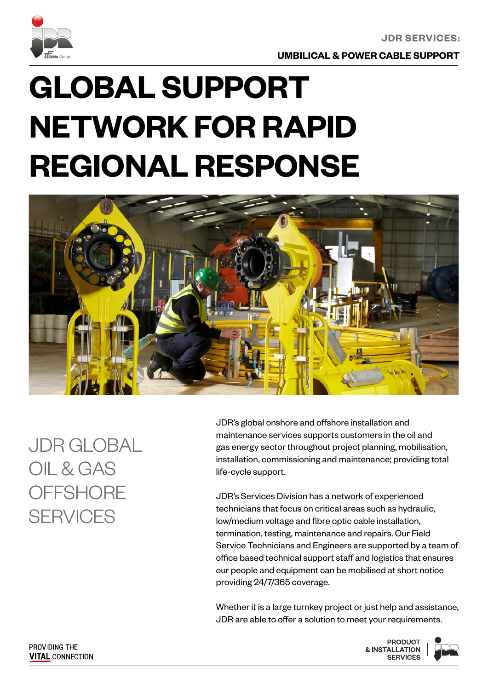

**UMBILICAL & POWER CABLE SUPPORT**

# **GLOBAL SUPPORT NETWORK FOR RAPID REGIONAL RESPONSE**



JDR GLOBAL OIL & GAS **OFFSHORE SFRVICES** 

JDR's global onshore and offshore installation and maintenance services supports customers in the oil and gas energy sector throughout project planning, mobilisation, installation, commissioning and maintenance; providing total life-cycle support.

JDR's Services Division has a network of experienced technicians that focus on critical areas such as hydraulic, low/medium voltage and fibre optic cable installation, termination, testing, maintenance and repairs. Our Field Service Technicians and Engineers are supported by a team of office based technical support staff and logistics that ensures our people and equipment can be mobilised at short notice providing 24/7/365 coverage.

Whether it is a large turnkey project or just help and assistance, JDR are able to offer a solution to meet your requirements.